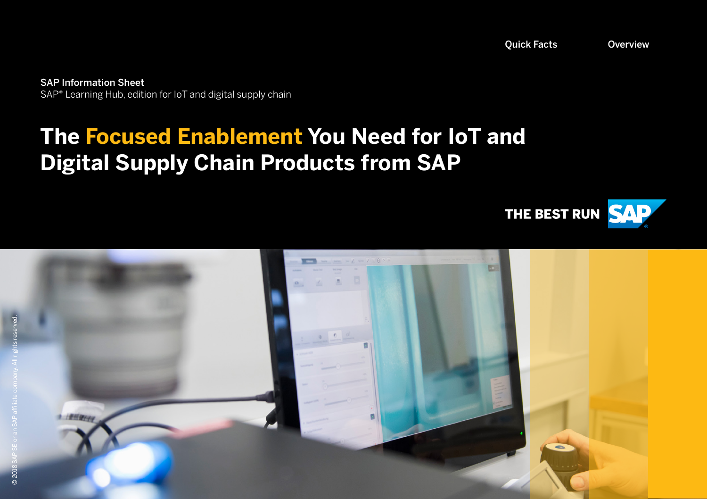<span id="page-0-0"></span>SAP Information Sheet SAP® Learning Hub, edition for IoT and digital supply chain

# **The Focused Enablement You Need for IoT and Digital Supply Chain Products from SAP**



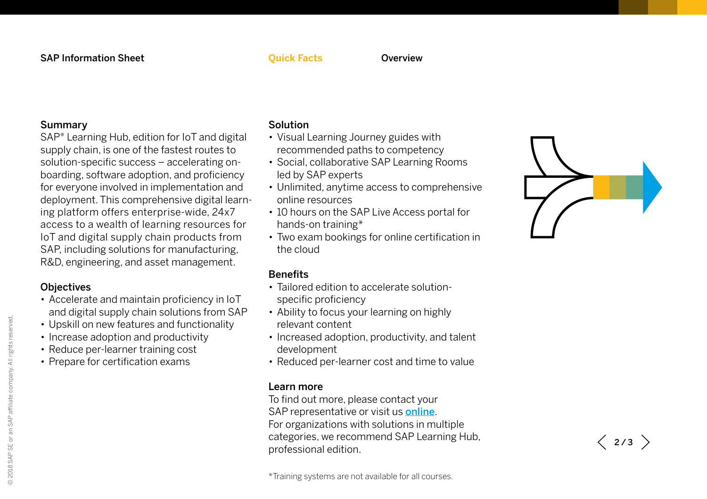### Summary

SAP® Learning Hub, edition for IoT and digital supply chain, is one of the fastest routes to solution-specific success – accelerating on boarding, software adoption, and proficiency for everyone involved in implementation and deployment. This comprehensive digital learn ing platform offers enterprise-wide, 24x7 access to a wealth of learning resources for IoT and digital supply chain products from SAP, including solutions for manufacturing, R&D, engineering, and asset management.

### **Objectives**

- Accelerate and maintain proficiency in IoT and digital supply chain solutions from SAP
- Upskill on new features and functionality
- Increase adoption and productivity
- Reduce per-learner training cost
- Prepare for certification exams

## <span id="page-1-0"></span>Solution

- Visual Learning Journey guides with recommended paths to competency
- Social, collaborative SAP Learning Rooms led by SAP experts
- Unlimited, anytime access to comprehensive online resources
- 10 hours on the SAP Live Access portal for hands-on training\*
- Two exam bookings for online certification in the cloud

## **Benefits**

- Tailored edition to accelerate solutionspecific proficiency
- Ability to focus your learning on highly relevant content
- Increased adoption, productivity, and talent development
- Reduced per-learner cost and time to value

### Learn more

To find out more, please contact your SAP representative or visit us **[online](http://www.sap.com/learninghub)**. For organizations with solutions in multiple categories, we recommend SAP Learning Hub, professional edition.

\*Training systems are not available for all courses.



 $\langle$  2/3  $\rangle$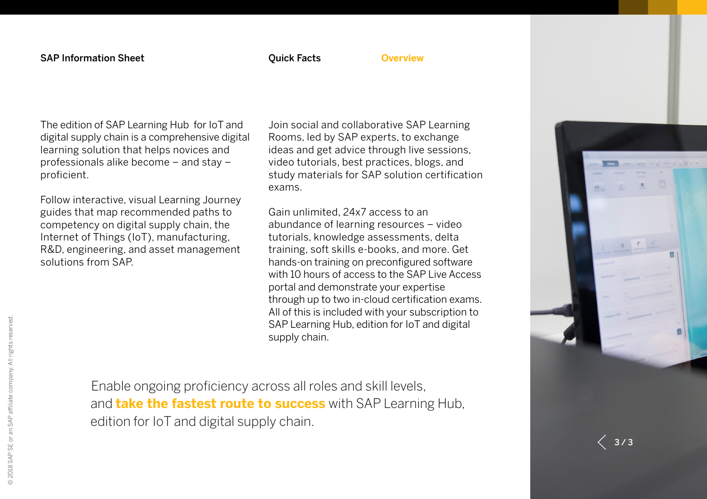### <span id="page-2-0"></span>**Overview**

The edition of SAP Learning Hub for IoT and digital supply chain is a comprehensive digital learning solution that helps novices and professionals alike become – and stay – proficient.

Follow interactive, visual Learning Journey guides that map recommended paths to competency on digital supply chain, the Internet of Things (IoT), manufacturing, R&D, engineering, and asset management solutions from SAP.

Join social and collaborative SAP Learning Rooms, led by SAP experts, to exchange ideas and get advice through live sessions, video tutorials, best practices, blogs, and study materials for SAP solution certification exams.

Gain unlimited, 24x7 access to an abundance of learning resources – video tutorials, knowledge assessments, delta training, soft skills e-books, and more. Get hands-on training on preconfigured software with 10 hours of access to the SAP Live Access portal and demonstrate your expertise through up to two in-cloud certification exams. All of this is included with your subscription to SAP Learning Hub, edition for IoT and digital supply chain.

Enable ongoing proficiency across all roles and skill levels, and **take the fastest route to success** with SAP Learning Hub, edition for IoT and digital supply chain.